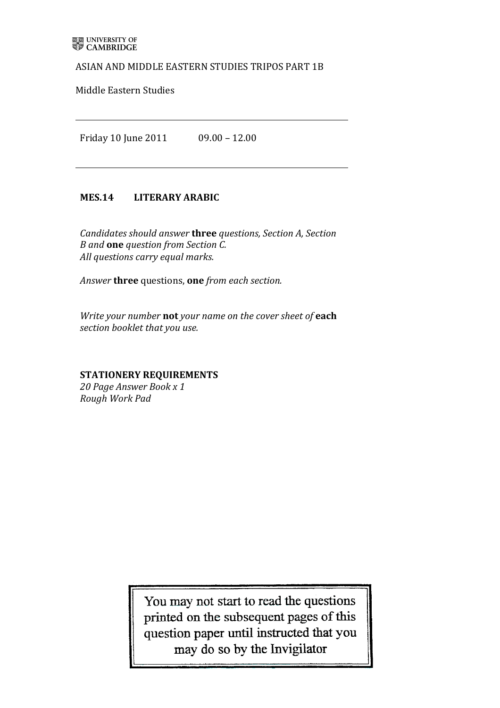### ASIAN AND MIDDLE EASTERN STUDIES TRIPOS PART 1B

Middle Eastern Studies

Friday%10%June%2011%%%%%%%%%%%%%%09.00%– 12.00

# MES.14 LITERARY ARABIC

*Candidates should answer three questions, Section A, Section B* and **one** question from Section C. All questions carry equal marks.

Answer **three** questions, one *from each section.* 

*Write your number* not your name on the cover sheet of each section booklet that you use.

# **STATIONERY'REQUIREMENTS**

20 Page Answer Book x 1 *Rough!Work!Pad*

> You may not start to read the questions printed on the subsequent pages of this question paper until instructed that you may do so by the Invigilator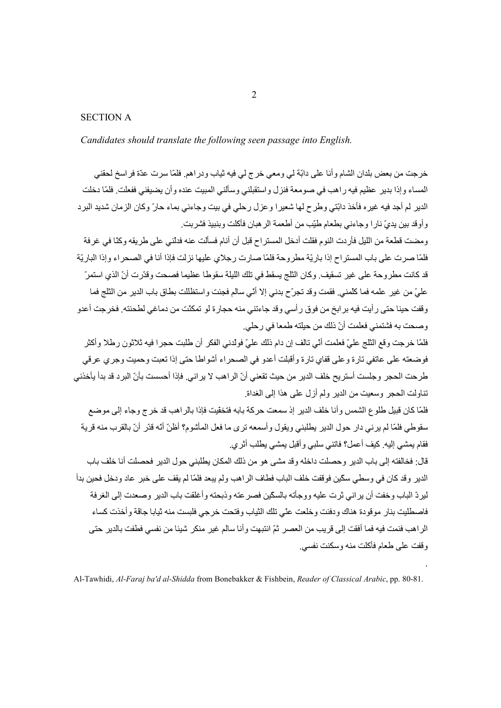### **SECTION A**

Candidates should translate the following seen passage into English.

خرجت من بعض بلدان الشام و أنا علي دابّة لي ومعي خرج لي فيه ثياب ودر اهم. فلمّا سرت عدّة فر اسخ لحقني المساء وإذا بدير عظيم فيه راهب في صومعة فنزل واستقبلني وسألني المبيت عنده وأن يضيفني ففعلت فلمّا دخلت الدير لم أجد فيه غيره فأخذ دابّتي وطرح لها شعيرا وعزل رحلي في بيت وجاءني بماء حارّ وكان الزمان شديد البرد و أو قد بين يديّ نار ا و جاءني بطعام طبّب من أطعمة الر هبان فأكلت و بنبيذ فشر بت.

ومضت قطعة من الليل فأر دت النو م فقلت أدخل المستر اح قبل أن أنام فسألت عنه فدلني على طر يقه وكنّا في غر فة فلمّا صرت على باب المستر اح إذا باريّة مطر وحة فلمّا صارت رجلاي عليها نزلت فإذا أنا في الصحر اء وإذا الباريّة قد كانت مطر وحة على غير تسقيف وكان الثلج يسقط في تلك الليلة سقوطا عظيما فصحت وقدّرت أنّ الذي استمرّ عليّ من غير ِ علمه فما كلّمني. فقمت وقد تجرّح بدني إلا أنّي سالم فجئت واستظللت بطاق باب الدير ٍ من الثلج فما وقفت حينا حتى ر أيت فيه بر ابخ من فوق ر أسي وقد جاءتني منه حجار ة لو تمكنّت من دماغي لطحنته. فخر جت أعدو وصحت به فشتمني فعلمت أنّ ذلك من حيلته طمعا في رحلي.

فلمّا خرجت وقع الثلج عليّ فعلمت أنّي تالف إن دام ذلك عليّ فولدني الفكر أن طلبت حجرا فيه ثلاثون رطلا وأكثر فو ضعته علي عاتفي تار ة و علي قفاي تار ة و أقبلت أعدو في الصحر اء أشو اطا حتى إذا تعبت و حميت و جر ي عر قي طر حت الحجر و جلست أستر يح خلف الدير من حيث تقعني أنّ الر اهب لا ير اني. فإذا أحسست بأنّ البر د قد بدأ يأخذني تناولت الحجر وسعيت من الدبر ولم أز ل على هذا إلى الغداة

فلمّا كان قبيل طلوع الشمس و أنا خلف الدير إذ سمعت حركة بابه فتخفّيت فإذا بالر اهب قد خرج وجاء إلى موضع سقوطي فلمّا لم يرني دار حول الدير يطلبني ويقول وأسمعه ترى ما فعل المأشوم؟ أظنّ أنّه قدّر أنّ بالقرب منه قرية فقام يمشي إليه. كيف أعمل؟ فاتني سلبي و أقبل يمشي يطلب أثر ي.

قال: فخالفته إلى باب الدير وحصلت داخله وقد مشي هو من ذلك المكان يطلبني حول الدير فحصلت أنا خلف باب الدير وقد كان في وسطى سكّين فوقفت خلّف الباب فطاف الر اهب و لم يبعد فلمّا لم يقف على خبر عاد و دخل فحين بدأ لير دّ الباب وخفت أن ير اني ثر ت عليه و و جأته بالسكّين فصر عته و ذبحته و أغلقت باب الدير و صعدت إلى الغر فة فاصطليت بنار موقودة هناك ودفئت وخلعت عني تلك الثياب وفتحت خرجي فلبست منه ثيابا جاقة وأخذت كساء الر اهب فنمت فيه فما أفقت إلى قر يب من العصر ثمّ انتبهت و أنا سالم غير منكر شيئا من نفسي فطفت بالدير حتى وقفت على طعام فأكلت منه وسكنت نفسي

Al-Tawhidi, Al-Faraj ba'd al-Shidda from Bonebakker & Fishbein, Reader of Classical Arabic, pp. 80-81.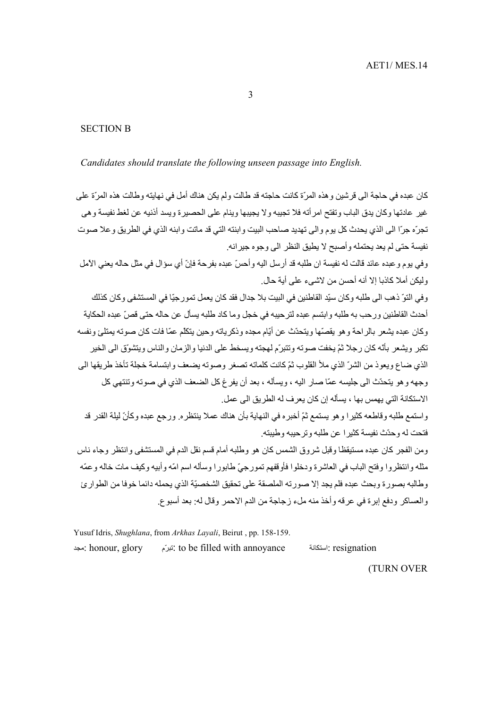$\overline{3}$ 

#### **SECTION B**

Candidates should translate the following unseen passage into English.

كان عبده في حاجة الى قرشين و هذه المرّة كانت حاجته قد طالت ولم يكن هناك أمل في نهايته وطالت هذه المرّة على غير عادتها وكان يدق الباب وتفتح امر أته فلا تجيبه ولا يجيبها وينام على الحصيرة ويسد أذنيه عن لغط نفيسة وهي تجرّه جرّا الى الذي يحدث كل يوم والى تهديد صاحب البيت وابنته التي قد ماتت وابنه الذي في الطريق وعلا صوت نفيسة حتى لم يعد يحتمله وأصبح لا يطيق النظر الى وجوه جيرانه.

وفي يوم و عبده عائد قالت له نفيسة ان طلبه قد أرسل اليه و أحسّ عبده بفرحة فإنّ أي سؤال في مثل حاله يعني الأمل وليكن أملا كاذبا إلا أنه أحسن من لاشيء على أية حال.

وفي النّوّ ذهب الى طلبه وكان سبّد القاطنين في البيت بلا جدال فقد كان يعمل تمورجيّا في المستشفى وكان كذلك أحدث القاطنين ورحب به طلبه وابتسم عبده لترحيبه في خجل وما كاد طلبه يسأل عن حاله حتى قصِّ عبده الحكاية وكان عبده يشعر بالراحة وهو يقصّها ويتحدّث عن أيّام مجده وذكرياته وحين يتكلّم عمّا فات كان صوته يمتلئ ونفسه تكبر ۖ ويشعر ۖ بأنَّه كان ر جلا ثمّ يخفت صوته وتتبرّم لمهجته ويسخط على الدنيا و الز مان و الناس ويتشوّق الى الخير الذي ضباع و يعو ذ من الشر ّ الذي ملأ القلوب ثمّ كانت كلماته تصغر و صو ته يضعف و ابتسامة خجلة تأخذ طر يقها الى وجهه و هو يتحدّث الى جليسه عمّا صار اليه ، ويسأله ، بعد أن يفر غ كل الضعف الذي في صوته و تنتهي كل الاستكانة التي يهمس بها ، يسأله إن كان يعر ف له الطريق الى عمل.

واستمع طلبه وقاطعه كثيرا وهو يستمع ثمّ أخبره في النهاية بأن هناك عملا ينتظره. ورجع عبده وكأنّ ليلة القدر قد فتحت له و حدّث نفسة كثير ١ عن طلبه و تر حببه و طببته ِ

ومن الفجر كان عبده مستيقظا وقبل شروق الشمس كان هو وطلبه أمام قسم نقل الدم في المستشفى وانتظر وجاء ناس مثله وانتظروا وفتح الباب في العاشرة ودخلوا فأوقفهم تمورجيّ طابورا وسأله اسم امّه وأبيه وكيف مات خاله وعمّه وطالبه بصور ة ويحث عنده فلم يحد الإ صور ته الملصقة على تحقيق الشخصيّة الذي يحمله دائما خوفا من الطوار يُ والعساكر ودفع إبرة في عرقه وأخذ منه ملء زجاجة من الدم الاحمر وقال له: بعد أسبوع.

Yusuf Idris, Shughlana, from Arkhas Layali, Beirut, pp. 158-159. honour, glory: مجد to be filled with annovance: تَبْرَمَ resignation: استكانة

**(TURN OVER**